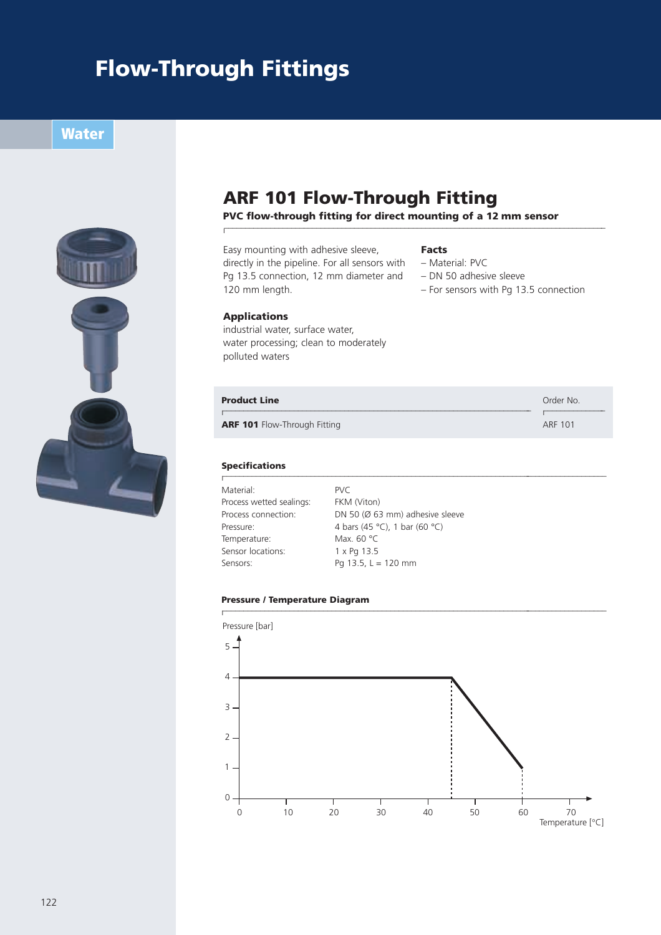## **Flow-Through Fittings**

l

**Water** 



### **ARF 101 Flow-Through Fitting**

**PVC flow-through fitting for direct mounting of a 12 mm sensor**

### Easy mounting with adhesive sleeve,

#### **Facts**

directly in the pipeline. For all sensors with Pg 13.5 connection, 12 mm diameter and – Material: PVC

–––––––––––––––––––––––––––––––––––––––––––––––––––––––––––––––––––––––––––––––––––––––––––

- DN 50 adhesive sleeve
- For sensors with Pg 13.5 connection

–––––––––––––––

### **Applications**

120 mm length.

industrial water, surface water, water processing; clean to moderately polluted waters

#### **Product Line Contact Line Contact Line Contact Line Order No. 2006**

l

**ARF 101** Flow-Through Fitting ARF 101

#### **Specifications**

l –––––––––––––––––––––––––––––––––––––––––––––––––––––––––––––––––––––––––––––––––––––––––––– Material: PVC Process wetted sealings: FKM (Viton) Temperature: Max. 60 °C Sensor locations: 1 x Pg 13.5 Sensors: Pg 13.5,  $L = 120$  mm

Process connection: DN 50 (Ø 63 mm) adhesive sleeve Pressure:  $4 \text{ bars } (45 \text{ °C}), 1 \text{ bar } (60 \text{ °C})$ 

–––––––––––––––––––––––––––––––––––––––––––––––––––––––––––––––––––––––––– l

#### **Pressure / Temperature Diagram**